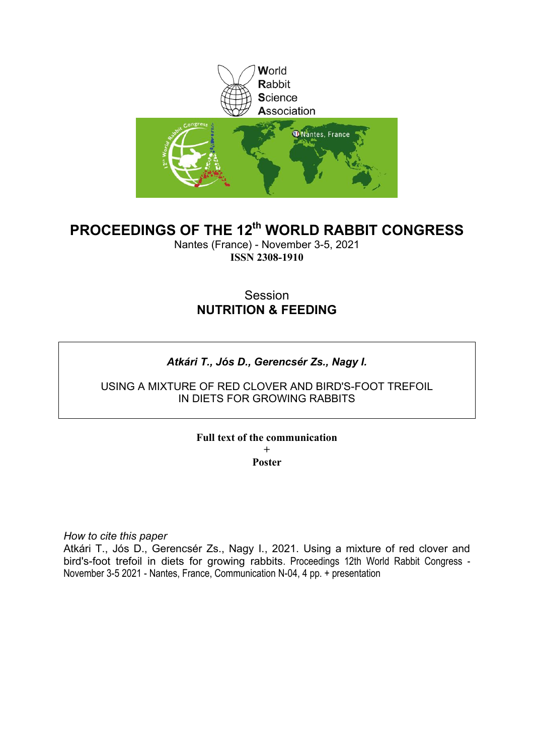

# **PROCEEDINGS OF THE 12th WORLD RABBIT CONGRESS**

Nantes (France) - November 3-5, 2021 **ISSN 2308-1910**

# Session **NUTRITION & FEEDING**

# *Atkári T., Jós D., Gerencsér Zs., Nagy I.*

USING A MIXTURE OF RED CLOVER AND BIRD'S-FOOT TREFOIL IN DIETS FOR GROWING RABBITS

## **Full text of the communication**

**+ Poster**

*How to cite this paper*

Atkári T., Jós D., Gerencsér Zs., Nagy I., 2021. Using a mixture of red clover and bird's-foot trefoil in diets for growing rabbits. Proceedings 12th World Rabbit Congress - November 3-5 2021 - Nantes, France, Communication N-04, 4 pp. + presentation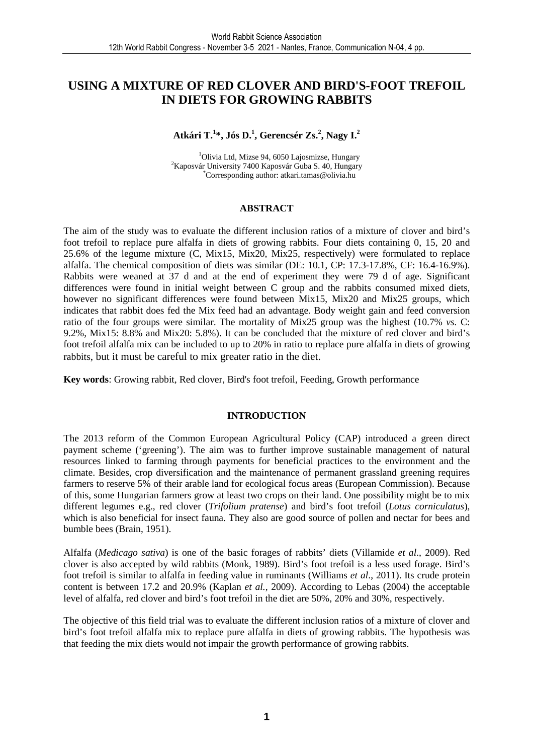# **USING A MIXTURE OF RED CLOVER AND BIRD'S-FOOT TREFOIL IN DIETS FOR GROWING RABBITS**

## **Atkári T.<sup>1</sup> \*, Jós D.<sup>1</sup> , Gerencsér Zs.<sup>2</sup> , Nagy I.<sup>2</sup>**

 $1$ Olivia Ltd, Mizse 94, 6050 Lajosmizse, Hungary  ${}^{2}$ Kaposvár University 7400 Kaposvár Guba S. 40, Hungary \*Corresponding author: atkari.tamas@olivia.hu

#### **ABSTRACT**

The aim of the study was to evaluate the different inclusion ratios of a mixture of clover and bird's foot trefoil to replace pure alfalfa in diets of growing rabbits. Four diets containing 0, 15, 20 and 25.6% of the legume mixture (C, Mix15, Mix20, Mix25, respectively) were formulated to replace alfalfa. The chemical composition of diets was similar (DE: 10.1, CP: 17.3-17.8%, CF: 16.4-16.9%). Rabbits were weaned at 37 d and at the end of experiment they were 79 d of age. Significant differences were found in initial weight between C group and the rabbits consumed mixed diets, however no significant differences were found between Mix15, Mix20 and Mix25 groups, which indicates that rabbit does fed the Mix feed had an advantage. Body weight gain and feed conversion ratio of the four groups were similar. The mortality of Mix25 group was the highest (10.7% *vs.* C: 9.2%, Mix15: 8.8% and Mix20: 5.8%). It can be concluded that the mixture of red clover and bird's foot trefoil alfalfa mix can be included to up to 20% in ratio to replace pure alfalfa in diets of growing rabbits, but it must be careful to mix greater ratio in the diet.

**Key words**: Growing rabbit, Red clover, Bird's foot trefoil, Feeding, Growth performance

#### **INTRODUCTION**

The 2013 reform of the Common European Agricultural Policy (CAP) introduced a green direct payment scheme ('greening'). The aim was to further improve sustainable management of natural resources linked to farming through payments for beneficial practices to the environment and the climate. Besides, crop diversification and the maintenance of permanent grassland greening requires farmers to reserve 5% of their arable land for ecological focus areas (European Commission). Because of this, some Hungarian farmers grow at least two crops on their land. One possibility might be to mix different legumes e.g., red clover (*Trifolium pratense*) and bird's foot trefoil (*Lotus corniculatus*), which is also beneficial for insect fauna. They also are good source of pollen and nectar for bees and bumble bees (Brain, 1951).

Alfalfa (*Medicago sativa*) is one of the basic forages of rabbits' diets (Villamide *et al*., 2009). Red clover is also accepted by wild rabbits (Monk, 1989). Bird's foot trefoil is a less used forage. Bird's foot trefoil is similar to alfalfa in feeding value in ruminants (Williams *et al*., 2011). Its crude protein content is between 17.2 and 20.9% (Kaplan *et al.,* 2009). According to Lebas (2004) the acceptable level of alfalfa, red clover and bird's foot trefoil in the diet are 50%, 20% and 30%, respectively.

The objective of this field trial was to evaluate the different inclusion ratios of a mixture of clover and bird's foot trefoil alfalfa mix to replace pure alfalfa in diets of growing rabbits. The hypothesis was that feeding the mix diets would not impair the growth performance of growing rabbits.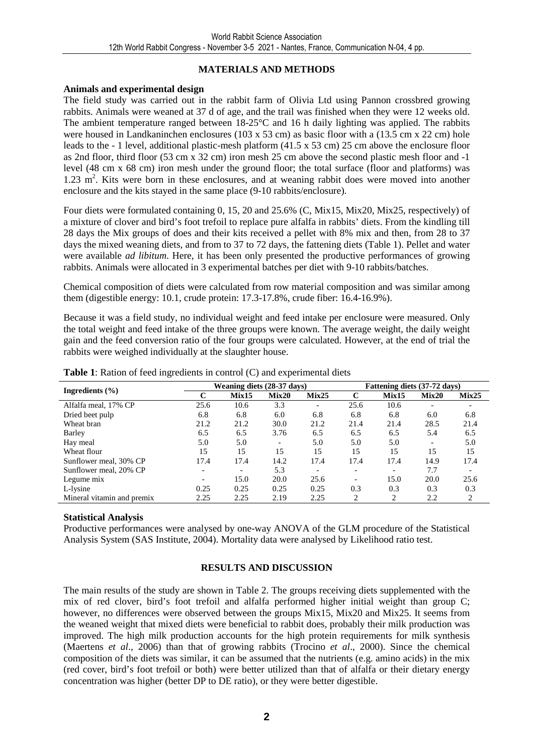## **MATERIALS AND METHODS**

### **Animals and experimental design**

The field study was carried out in the rabbit farm of Olivia Ltd using Pannon crossbred growing rabbits. Animals were weaned at 37 d of age, and the trail was finished when they were 12 weeks old. The ambient temperature ranged between 18-25°C and 16 h daily lighting was applied. The rabbits were housed in Landkaninchen enclosures (103 x 53 cm) as basic floor with a (13.5 cm x 22 cm) hole leads to the - 1 level, additional plastic-mesh platform (41.5 x 53 cm) 25 cm above the enclosure floor as 2nd floor, third floor (53 cm x 32 cm) iron mesh 25 cm above the second plastic mesh floor and -1 level (48 cm x 68 cm) iron mesh under the ground floor; the total surface (floor and platforms) was 1.23 m<sup>2</sup>. Kits were born in these enclosures, and at weaning rabbit does were moved into another enclosure and the kits stayed in the same place (9-10 rabbits/enclosure).

Four diets were formulated containing 0, 15, 20 and 25.6% (C, Mix15, Mix20, Mix25, respectively) of a mixture of clover and bird's foot trefoil to replace pure alfalfa in rabbits' diets. From the kindling till 28 days the Mix groups of does and their kits received a pellet with 8% mix and then, from 28 to 37 days the mixed weaning diets, and from to 37 to 72 days, the fattening diets (Table 1). Pellet and water were available *ad libitum*. Here, it has been only presented the productive performances of growing rabbits. Animals were allocated in 3 experimental batches per diet with 9-10 rabbits/batches.

Chemical composition of diets were calculated from row material composition and was similar among them (digestible energy: 10.1, crude protein: 17.3-17.8%, crude fiber: 16.4-16.9%).

Because it was a field study, no individual weight and feed intake per enclosure were measured. Only the total weight and feed intake of the three groups were known. The average weight, the daily weight gain and the feed conversion ratio of the four groups were calculated. However, at the end of trial the rabbits were weighed individually at the slaughter house.

| Ingredients $(\% )$        | Weaning diets (28-37 days) |                          |                          |                          | Fattening diets (37-72 days) |                          |       |                          |
|----------------------------|----------------------------|--------------------------|--------------------------|--------------------------|------------------------------|--------------------------|-------|--------------------------|
|                            |                            | Mix15                    | Mix20                    | Mix25                    | C                            | Mix15                    | Mix20 | Mix25                    |
| Alfalfa meal, 17% CP       | 25.6                       | 10.6                     | 3.3                      | $\overline{\phantom{a}}$ | 25.6                         | 10.6                     |       |                          |
| Dried beet pulp            | 6.8                        | 6.8                      | 6.0                      | 6.8                      | 6.8                          | 6.8                      | 6.0   | 6.8                      |
| Wheat bran                 | 21.2                       | 21.2                     | 30.0                     | 21.2                     | 21.4                         | 21.4                     | 28.5  | 21.4                     |
| Barley                     | 6.5                        | 6.5                      | 3.76                     | 6.5                      | 6.5                          | 6.5                      | 5.4   | 6.5                      |
| Hay meal                   | 5.0                        | 5.0                      | $\overline{\phantom{a}}$ | 5.0                      | 5.0                          | 5.0                      |       | 5.0                      |
| Wheat flour                | 15                         | 15                       | 15                       | 15                       | 15                           | 15                       | 15    | 15                       |
| Sunflower meal, 30% CP     | 17.4                       | 17.4                     | 14.2                     | 17.4                     | 17.4                         | 17.4                     | 14.9  | 17.4                     |
| Sunflower meal, 20% CP     | $\overline{\phantom{0}}$   | $\overline{\phantom{0}}$ | 5.3                      | $\overline{\phantom{0}}$ | $\overline{\phantom{0}}$     | $\overline{\phantom{0}}$ | 7.7   | $\overline{\phantom{0}}$ |
| Legume mix                 |                            | 15.0                     | 20.0                     | 25.6                     | $\overline{\phantom{0}}$     | 15.0                     | 20.0  | 25.6                     |
| L-lysine                   | 0.25                       | 0.25                     | 0.25                     | 0.25                     | 0.3                          | 0.3                      | 0.3   | 0.3                      |
| Mineral vitamin and premix | 2.25                       | 2.25                     | 2.19                     | 2.25                     | 2                            | 2                        | 2.2   | 2                        |

**Table 1**: Ration of feed ingredients in control (C) and experimental diets

## **Statistical Analysis**

Productive performances were analysed by one-way ANOVA of the GLM procedure of the Statistical Analysis System (SAS Institute, 2004). Mortality data were analysed by Likelihood ratio test.

## **RESULTS AND DISCUSSION**

The main results of the study are shown in Table 2. The groups receiving diets supplemented with the mix of red clover, bird's foot trefoil and alfalfa performed higher initial weight than group C; however, no differences were observed between the groups Mix15, Mix20 and Mix25. It seems from the weaned weight that mixed diets were beneficial to rabbit does, probably their milk production was improved. The high milk production accounts for the high protein requirements for milk synthesis (Maertens *et al*., 2006) than that of growing rabbits (Trocino *et al*., 2000). Since the chemical composition of the diets was similar, it can be assumed that the nutrients (e.g. amino acids) in the mix (red cover, bird's foot trefoil or both) were better utilized than that of alfalfa or their dietary energy concentration was higher (better DP to DE ratio), or they were better digestible.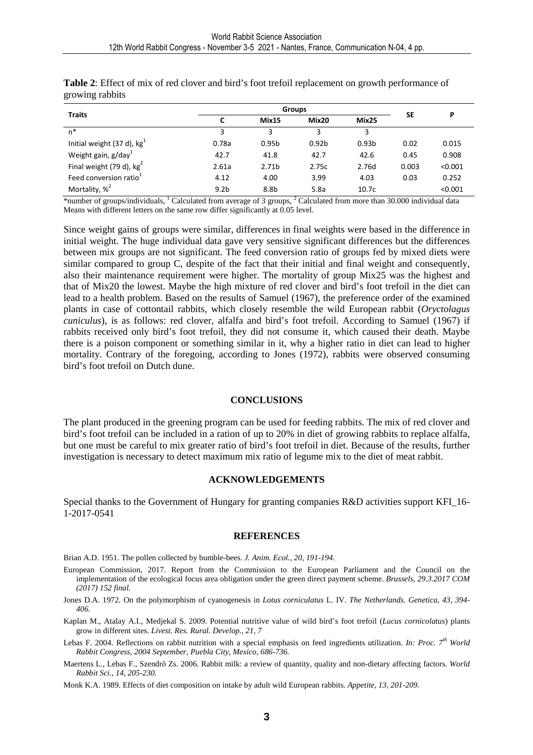| <b>Traits</b>                      |                  |                   | P                 |                   |       |         |
|------------------------------------|------------------|-------------------|-------------------|-------------------|-------|---------|
|                                    |                  | Mix15             | Mix20             | Mix25             | SE    |         |
| n*                                 | 3                | 3                 | 3                 | 3                 |       |         |
| Initial weight (37 d), $kg+$       | 0.78a            | 0.95 <sub>b</sub> | 0.92 <sub>b</sub> | 0.93 <sub>b</sub> | 0.02  | 0.015   |
| Weight gain, g/day <sup>1</sup>    | 42.7             | 41.8              | 42.7              | 42.6              | 0.45  | 0.908   |
| Final weight (79 d), $kg2$         | 2.61a            | 2.71 <sub>b</sub> | 2.75c             | 2.76d             | 0.003 | < 0.001 |
| Feed conversion ratio <sup>1</sup> | 4.12             | 4.00              | 3.99              | 4.03              | 0.03  | 0.252   |
| Mortality, % <sup>2</sup>          | 9.2 <sub>b</sub> | 8.8b              | 5.8a              | 10.7 <sub>c</sub> |       | < 0.001 |

**Table 2**: Effect of mix of red clover and bird's foot trefoil replacement on growth performance of growing rabbits

\*number of groups/individuals, <sup>1</sup> Calculated from average of 3 groups, <sup>2</sup> Calculated from more than 30.000 individual data Means with different letters on the same row differ significantly at 0.05 level.

Since weight gains of groups were similar, differences in final weights were based in the difference in initial weight. The huge individual data gave very sensitive significant differences but the differences between mix groups are not significant. The feed conversion ratio of groups fed by mixed diets were similar compared to group C, despite of the fact that their initial and final weight and consequently, also their maintenance requirement were higher. The mortality of group Mix25 was the highest and that of Mix20 the lowest. Maybe the high mixture of red clover and bird's foot trefoil in the diet can lead to a health problem. Based on the results of Samuel (1967), the preference order of the examined plants in case of cottontail rabbits, which closely resemble the wild European rabbit (*Oryctolagus cuniculus*), is as follows: red clover, alfalfa and bird's foot trefoil. According to Samuel (1967) if rabbits received only bird's foot trefoil, they did not consume it, which caused their death. Maybe there is a poison component or something similar in it, why a higher ratio in diet can lead to higher mortality. Contrary of the foregoing, according to Jones (1972), rabbits were observed consuming bird's foot trefoil on Dutch dune.

#### **CONCLUSIONS**

The plant produced in the greening program can be used for feeding rabbits. The mix of red clover and bird's foot trefoil can be included in a ration of up to 20% in diet of growing rabbits to replace alfalfa, but one must be careful to mix greater ratio of bird's foot trefoil in diet. Because of the results, further investigation is necessary to detect maximum mix ratio of legume mix to the diet of meat rabbit.

#### **ACKNOWLEDGEMENTS**

Special thanks to the Government of Hungary for granting companies R&D activities support KFI\_16- 1-2017-0541

#### **REFERENCES**

Brian A.D. 1951. The pollen collected by bumble-bees. *J. Anim. Ecol., 20, 191-194.* 

- European Commission, 2017. Report from the Commission to the European Parliament and the Council on the implementation of the ecological focus area obligation under the green direct payment scheme. *Brussels, 29.3.2017 COM (2017) 152 final.*
- Jones D.A. 1972. On the polymorphism of cyanogenesis in *Lotus corniculatus* L. IV. *The Netherlands. Genetica, 43, 394- 406.*
- Kaplan M., Atalay A.I., Medjekal S. 2009. Potential nutritive value of wild bird's foot trefoil (*Lucus cornicolatus*) plants grow in different sites. *Livest. Res. Rural. Develop., 21, 7*
- Lebas F. 2004. Reflections on rabbit nutrition with a special emphasis on feed ingredients utilization. *In: Proc. 7th World Rabbit Congress, 2004 September, Puebla City, Mexico, 686-736.*
- Maertens L., Lebas F., Szendrő Zs. 2006. Rabbit milk: a review of quantity, quality and non-dietary affecting factors. *World Rabbit Sci*., *14, 205-230.*

Monk K.A. 1989. Effects of diet composition on intake by adult wild European rabbits. *Appetite, 13, 201-209.*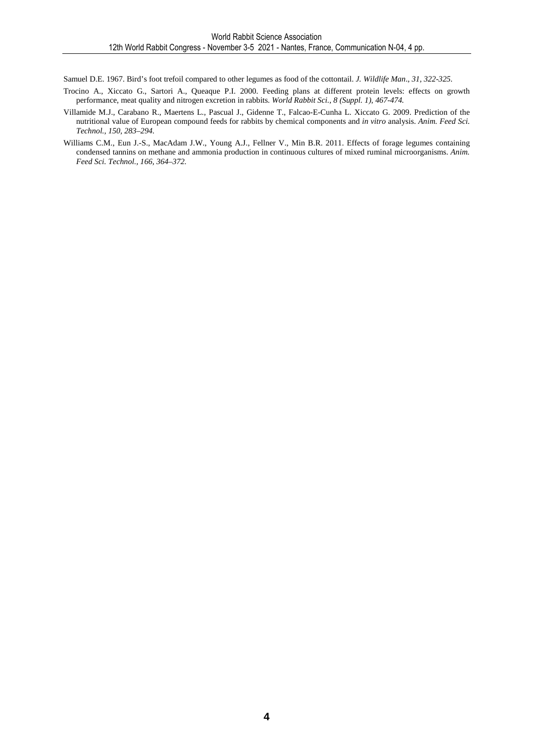Samuel D.E. 1967. Bird's foot trefoil compared to other legumes as food of the cottontail. *J. Wildlife Man*., *31, 322-325.* 

- Trocino A., Xiccato G., Sartori A., Queaque P.I. 2000. Feeding plans at different protein levels: effects on growth performance, meat quality and nitrogen excretion in rabbits. *World Rabbit Sci., 8 (Suppl. 1), 467-474.*
- Villamide M.J., Carabano R., Maertens L., Pascual J., Gidenne T., Falcao-E-Cunha L. Xiccato G. 2009. Prediction of the nutritional value of European compound feeds for rabbits by chemical components and *in vitro* analysis. *Anim. Feed Sci. Technol., 150, 283–294.*
- Williams C.M., Eun J.-S., MacAdam J.W., Young A.J., Fellner V., Min B.R. 2011. Effects of forage legumes containing condensed tannins on methane and ammonia production in continuous cultures of mixed ruminal microorganisms. *Anim. Feed Sci. Technol., 166, 364–372.*